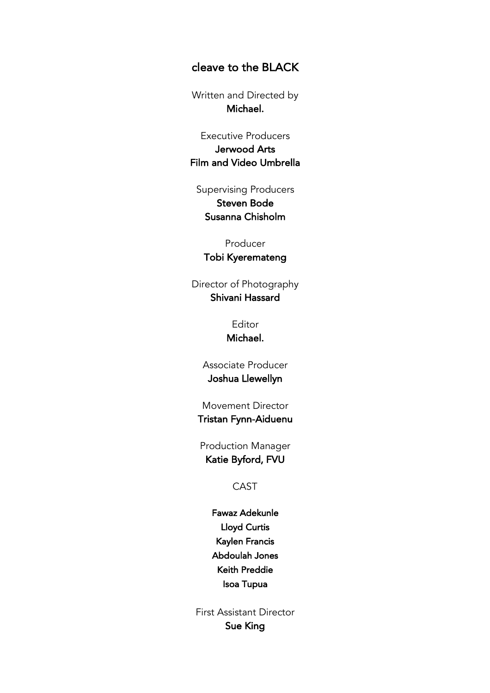## cleave to the BLACK

Written and Directed by Michael.

Executive Producers Jerwood Arts Film and Video Umbrella

Supervising Producers Steven Bode Susanna Chisholm

Producer

Tobi Kyeremateng

Director of Photography Shivani Hassard

> Editor Michael.

Associate Producer Joshua Llewellyn

Movement Director Tristan Fynn-Aiduenu

Production Manager Katie Byford, FVU

CAST

Fawaz Adekunle Lloyd Curtis Kaylen Francis Abdoulah Jones Keith Preddie Isoa Tupua

First Assistant Director Sue King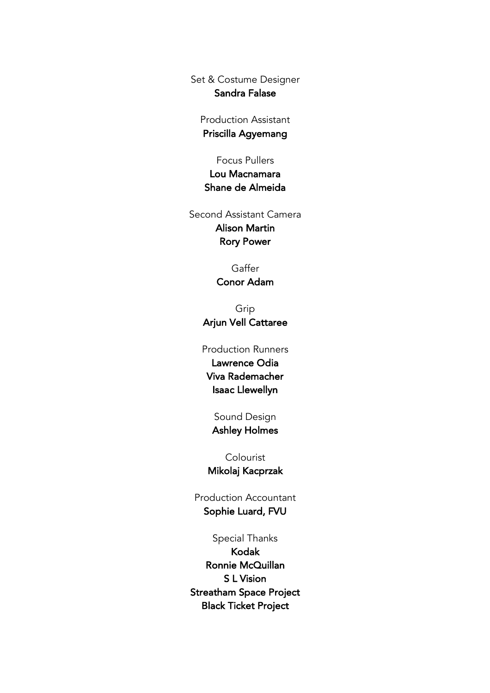Set & Costume Designer Sandra Falase

Production Assistant Priscilla Agyemang

Focus Pullers

Lou Macnamara Shane de Almeida

Second Assistant Camera Alison Martin Rory Power

> **Gaffer** Conor Adam

Grip Arjun Vell Cattaree

## Production Runners

Lawrence Odia Viva Rademacher Isaac Llewellyn

## Sound Design

Ashley Holmes

Colourist Mikolaj Kacprzak

Production Accountant Sophie Luard, FVU

Special Thanks Kodak Ronnie McQuillan S L Vision Streatham Space Project Black Ticket Project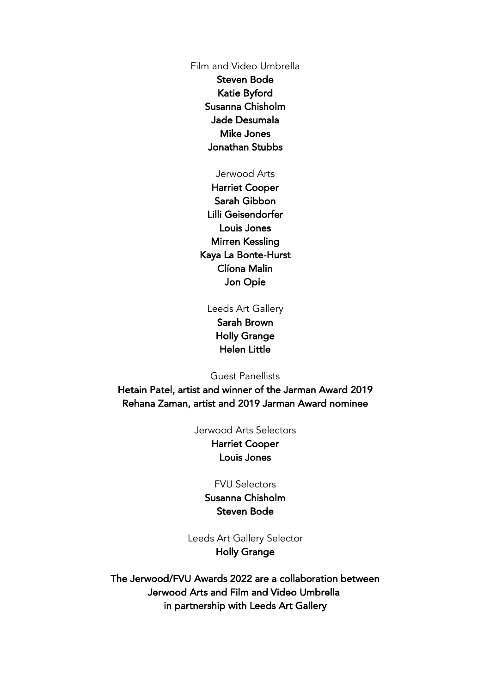Film and Video Umbrella

Steven Bode Katie Byford Susanna Chisholm Jade Desumala Mike Jones Jonathan Stubbs

## Jerwood Arts

Harriet Cooper Sarah Gibbon Lilli Geisendorfer Louis Jones Mirren Kessling Kaya La Bonte-Hurst Clíona Malin Jon Opie

Leeds Art Gallery

Sarah Brown Holly Grange Helen Little

Guest Panellists

Hetain Patel, artist and winner of the Jarman Award 2019 Rehana Zaman, artist and 2019 Jarman Award nominee

Jerwood Arts Selectors

Harriet Cooper Louis Jones

FVU Selectors

Susanna Chisholm Steven Bode

Leeds Art Gallery Selector Holly Grange

The Jerwood/FVU Awards 2022 are a collaboration between Jerwood Arts and Film and Video Umbrella in partnership with Leeds Art Gallery